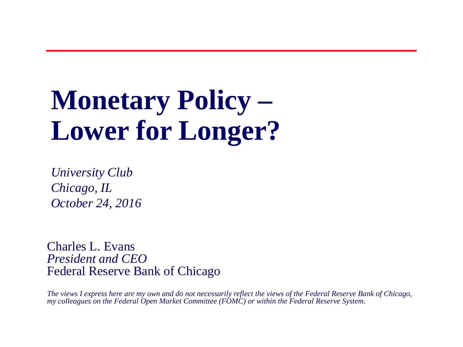# **Monetary Policy – Lower for Longer?**

*University Club Chicago, IL October 24, 2016*

Charles L. Evans *President and CEO* Federal Reserve Bank of Chicago

*The views I express here are my own and do not necessarily reflect the views of the Federal Reserve Bank of Chicago, my colleagues on the Federal Open Market Committee (FOMC) or within the Federal Reserve System.*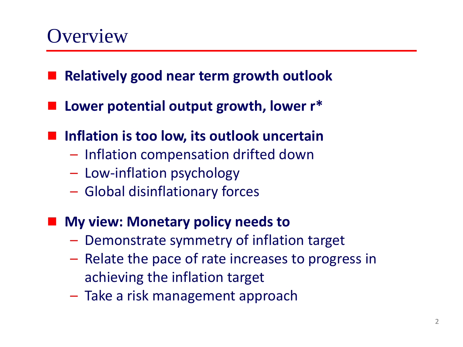### **Overview**

- **Relatively good near term growth outlook**
- **Lower potential output growth, lower r\***
- Inflation is too low, its outlook uncertain
	- Inflation compensation drifted down
	- Low-inflation psychology
	- Global disinflationary forces
- **My view: Monetary policy needs to**
	- Demonstrate symmetry of inflation target
	- Relate the pace of rate increases to progress in achieving the inflation target
	- Take a risk management approach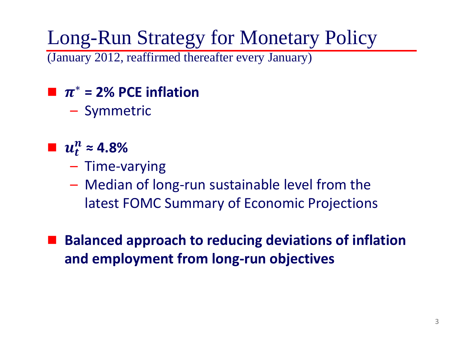Long-Run Strategy for Monetary Policy

(January 2012, reaffirmed thereafter every January)

 $\blacksquare$   $\pi^*$  = 2% PCE inflation

– Symmetric

- $u_t^n \approx 4.8\%$ 
	- Time-varying
	- Median of long-run sustainable level from the latest FOMC Summary of Economic Projections

 **Balanced approach to reducing deviations of inflation and employment from long-run objectives**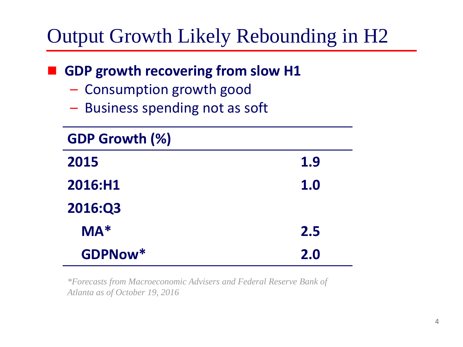## Output Growth Likely Rebounding in H2

### **GDP growth recovering from slow H1**

- Consumption growth good
- Business spending not as soft

| <b>GDP Growth (%)</b> |            |
|-----------------------|------------|
| 2015                  | 1.9        |
| 2016:H1               | <b>1.0</b> |
| 2016:Q3               |            |
| $MA*$                 | 2.5        |
| GDPNow*               | 2.0        |

*\*Forecasts from Macroeconomic Advisers and Federal Reserve Bank of Atlanta as of October 19, 2016*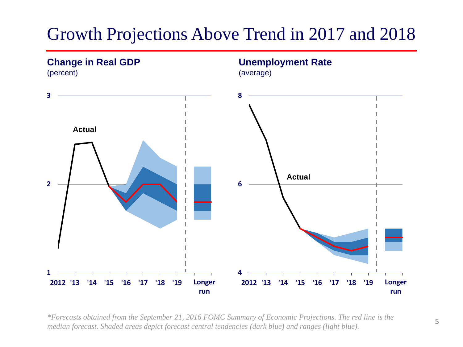### Growth Projections Above Trend in 2017 and 2018



*\*Forecasts obtained from the September 21, 2016 FOMC Summary of Economic Projections. The red line is the median forecast. Shaded areas depict forecast central tendencies (dark blue) and ranges (light blue).*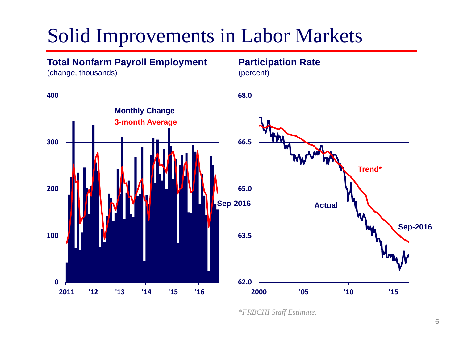## Solid Improvements in Labor Markets

### **Total Nonfarm Payroll Employment**

(change, thousands)





*\*FRBCHI Staff Estimate.*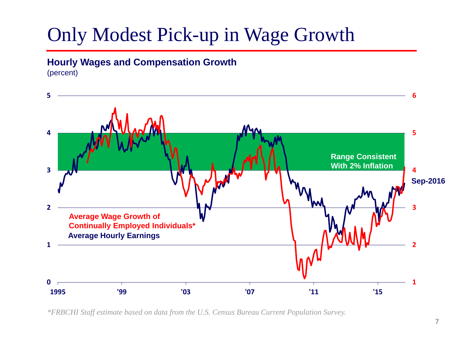## Only Modest Pick-up in Wage Growth

### **Hourly Wages and Compensation Growth**



*\*FRBCHI Staff estimate based on data from the U.S. Census Bureau Current Population Survey.*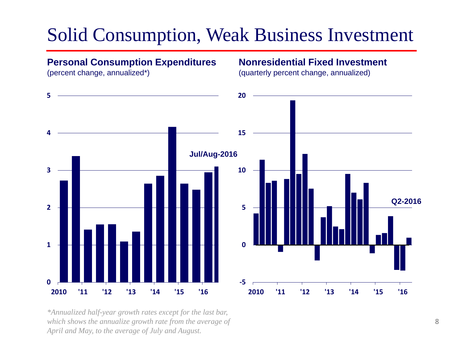### Solid Consumption, Weak Business Investment

#### **Personal Consumption Expenditures**

**Nonresidential Fixed Investment**

(percent change, annualized\*)

(quarterly percent change, annualized)



*\*Annualized half-year growth rates except for the last bar, which shows the annualize growth rate from the average of April and May, to the average of July and August.*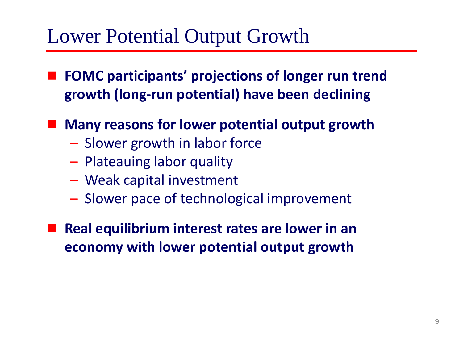## Lower Potential Output Growth

- **FOMC participants' projections of longer run trend growth (long-run potential) have been declining**
	- **Many reasons for lower potential output growth**
		- Slower growth in labor force
		- Plateauing labor quality
		- Weak capital investment
		- Slower pace of technological improvement
- **Real equilibrium interest rates are lower in an economy with lower potential output growth**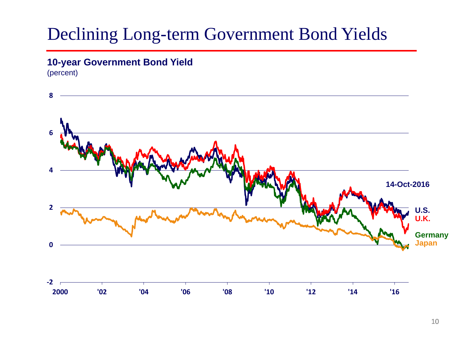### Declining Long-term Government Bond Yields

### **10-year Government Bond Yield**

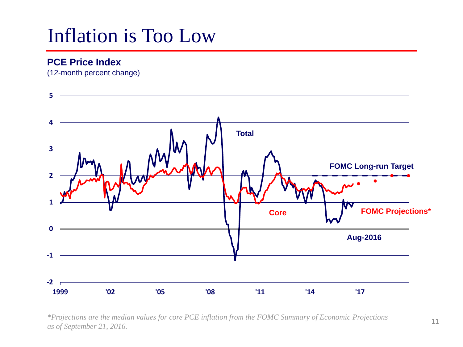## Inflation is Too Low

### **PCE Price Index**

(12-month percent change)



*\*Projections are the median values for core PCE inflation from the FOMC Summary of Economic Projections as of September 21, 2016.*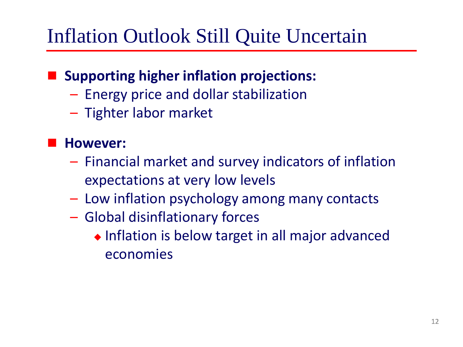## Inflation Outlook Still Quite Uncertain

### **Supporting higher inflation projections:**

- Energy price and dollar stabilization
- Tighter labor market

### **However:**

- Financial market and survey indicators of inflation expectations at very low levels
- Low inflation psychology among many contacts
- Global disinflationary forces
	- ◆ Inflation is below target in all major advanced economies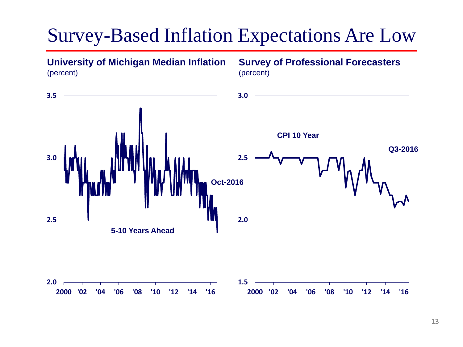### Survey-Based Inflation Expectations Are Low

**University of Michigan Median Inflation Survey of Professional Forecasters**  (percent) (percent) <u> 1989 - Johann Barn, fransk politik amerikansk politik (</u> **3.5 3.0 CPI 10 Year Q3-2016 3.0 2.5 Oct-2016 2.0 2.5 5-10 Years Ahead 2.0 1.5 2000 '02 '04 '06 '08 '10 '12 '14 '16 2000 '02 '04 '06 '08 '10 '12 '14 '16**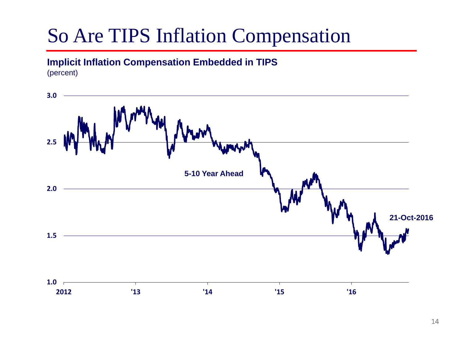## So Are TIPS Inflation Compensation

### **Implicit Inflation Compensation Embedded in TIPS**

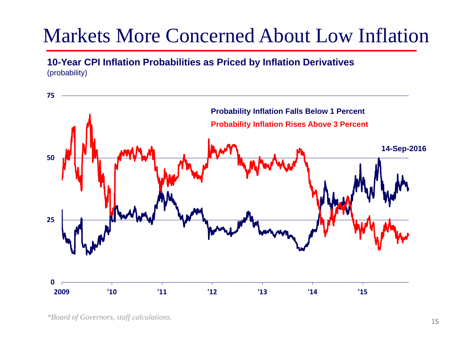## Markets More Concerned About Low Inflation

**10-Year CPI Inflation Probabilities as Priced by Inflation Derivatives** (probability)



*<sup>\*</sup>Board of Governors, staff calculations.*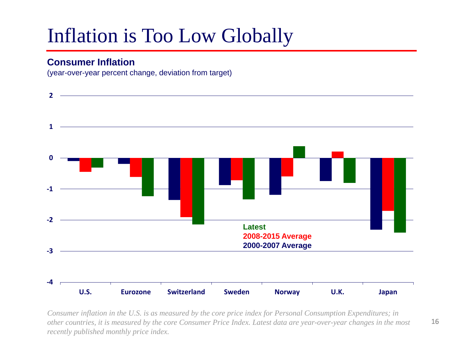## Inflation is Too Low Globally

#### **Consumer Inflation**

(year-over-year percent change, deviation from target)



*Consumer inflation in the U.S. is as measured by the core price index for Personal Consumption Expenditures; in other countries, it is measured by the core Consumer Price Index. Latest data are year-over-year changes in the most recently published monthly price index.*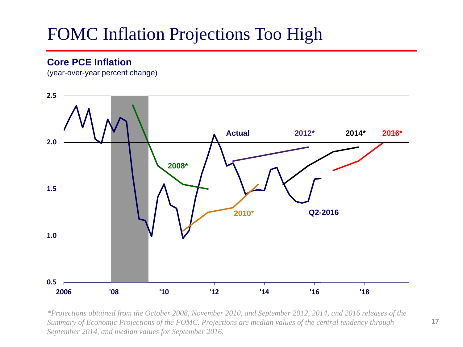### FOMC Inflation Projections Too High

### **Core PCE Inflation**

(year-over-year percent change)



*\*Projections obtained from the October 2008, November 2010, and September 2012, 2014, and 2016 releases of the Summary of Economic Projections of the FOMC. Projections are median values of the central tendency through September 2014, and median values for September 2016.*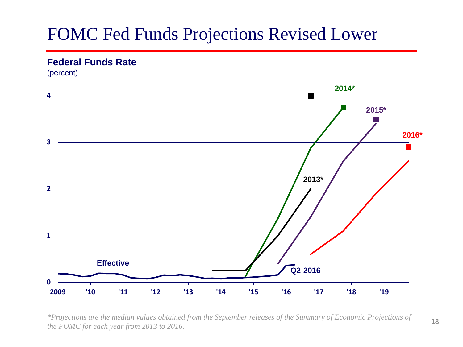### FOMC Fed Funds Projections Revised Lower

#### **Federal Funds Rate**

(percent)



*\*Projections are the median values obtained from the September releases of the Summary of Economic Projections of the FOMC for each year from 2013 to 2016.*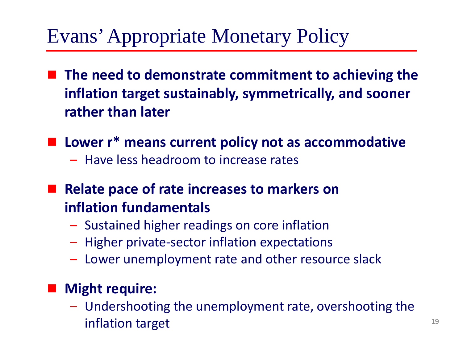## Evans' Appropriate Monetary Policy

- **The need to demonstrate commitment to achieving the inflation target sustainably, symmetrically, and sooner rather than later**
- Lower r<sup>\*</sup> means current policy not as accommodative
	- Have less headroom to increase rates
- **Relate pace of rate increases to markers on inflation fundamentals**
	- Sustained higher readings on core inflation
	- Higher private-sector inflation expectations
	- Lower unemployment rate and other resource slack

### **Might require:**

– Undershooting the unemployment rate, overshooting the inflation target